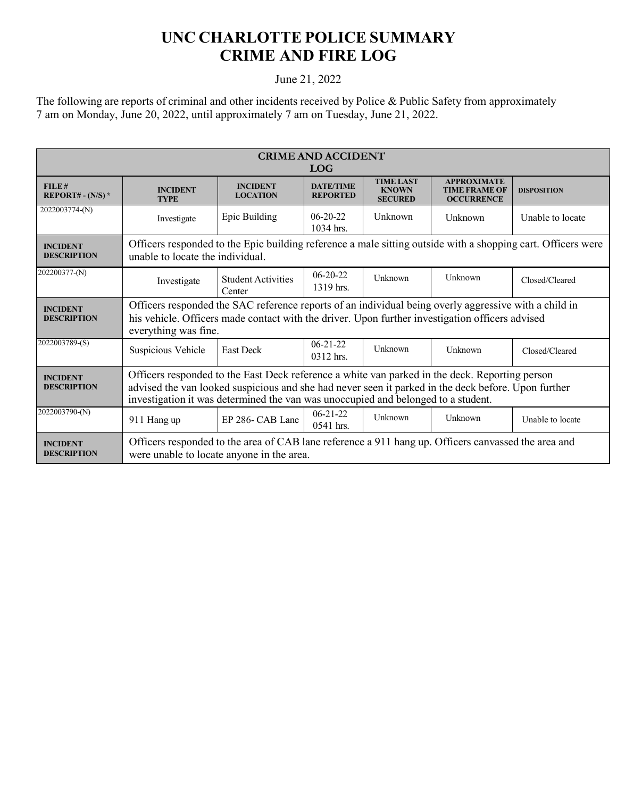## **UNC CHARLOTTE POLICE SUMMARY CRIME AND FIRE LOG**

## June 21, 2022

The following are reports of criminal and other incidents received by Police & Public Safety from approximately 7 am on Monday, June 20, 2022, until approximately 7 am on Tuesday, June 21, 2022.

| <b>CRIME AND ACCIDENT</b><br><b>LOG</b> |                                                                                                                                                                                                                                                                                            |                                     |                                     |                                                    |                                                                 |                    |  |
|-----------------------------------------|--------------------------------------------------------------------------------------------------------------------------------------------------------------------------------------------------------------------------------------------------------------------------------------------|-------------------------------------|-------------------------------------|----------------------------------------------------|-----------------------------------------------------------------|--------------------|--|
| FILE#<br>REPORT# - $(N/S)$ *            | <b>INCIDENT</b><br><b>TYPE</b>                                                                                                                                                                                                                                                             | <b>INCIDENT</b><br><b>LOCATION</b>  | <b>DATE/TIME</b><br><b>REPORTED</b> | <b>TIME LAST</b><br><b>KNOWN</b><br><b>SECURED</b> | <b>APPROXIMATE</b><br><b>TIME FRAME OF</b><br><b>OCCURRENCE</b> | <b>DISPOSITION</b> |  |
| 2022003774-(N)                          | Investigate                                                                                                                                                                                                                                                                                | Epic Building                       | $06-20-22$<br>1034 hrs.             | Unknown                                            | Unknown                                                         | Unable to locate   |  |
| <b>INCIDENT</b><br><b>DESCRIPTION</b>   | Officers responded to the Epic building reference a male sitting outside with a shopping cart. Officers were<br>unable to locate the individual.                                                                                                                                           |                                     |                                     |                                                    |                                                                 |                    |  |
| 202200377-(N)                           | Investigate                                                                                                                                                                                                                                                                                | <b>Student Activities</b><br>Center | $06 - 20 - 22$<br>1319 hrs.         | Unknown                                            | Unknown                                                         | Closed/Cleared     |  |
| <b>INCIDENT</b><br><b>DESCRIPTION</b>   | Officers responded the SAC reference reports of an individual being overly aggressive with a child in<br>his vehicle. Officers made contact with the driver. Upon further investigation officers advised<br>everything was fine.                                                           |                                     |                                     |                                                    |                                                                 |                    |  |
| 2022003789-(S)                          | Suspicious Vehicle                                                                                                                                                                                                                                                                         | <b>East Deck</b>                    | $06 - 21 - 22$<br>$0312$ hrs.       | Unknown                                            | Unknown                                                         | Closed/Cleared     |  |
| <b>INCIDENT</b><br><b>DESCRIPTION</b>   | Officers responded to the East Deck reference a white van parked in the deck. Reporting person<br>advised the van looked suspicious and she had never seen it parked in the deck before. Upon further<br>investigation it was determined the van was unoccupied and belonged to a student. |                                     |                                     |                                                    |                                                                 |                    |  |
| 2022003790-(N)                          | 911 Hang up                                                                                                                                                                                                                                                                                | EP 286- CAB Lane                    | $06 - 21 - 22$<br>$0541$ hrs.       | Unknown                                            | Unknown                                                         | Unable to locate   |  |
| <b>INCIDENT</b><br><b>DESCRIPTION</b>   | Officers responded to the area of CAB lane reference a 911 hang up. Officers canvassed the area and<br>were unable to locate anyone in the area.                                                                                                                                           |                                     |                                     |                                                    |                                                                 |                    |  |